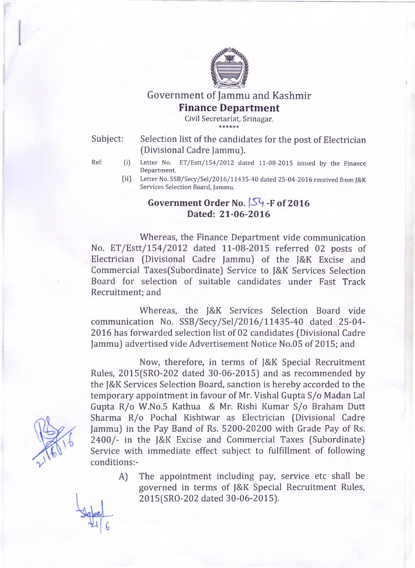

## Government of Jammu and Kashmir **Finance Department**

**Civil Secretariat, Srinagar.** \* \* \* \* \* \*

Subject: Selection list of the candidates for the post of Electrician (Divisional Cadre Jammu).

- Ref: (i) Letter No. ET/Estt/154/2012 dated 11-08-2015 issued by the Finance **Department.**
	- 00 **Letter No. SSB/Secy/Sel/2016/11435-40 dated 25-04-2016 received from J&K Services Selection Board, Jammu.**

## **Government Order No. 54 -F of 2016 Dated: 21-06-2016**

Whereas, the Finance Department vide communication No. ET/Estt/154/2012 dated 11-08-2015 referred 02 posts of Electrician (Divisional Cadre Jammu) of the J&K Excise and Commercial Taxes(Subordinate) Service to J&K Services Selection Board for selection of suitable candidates under Fast Track Recruitment; and

Whereas, the J&K Services Selection Board vide communication No. SSB/Secy/Sel/2016/11435-40 dated 25-04 2016 has forwarded selection list of 02 candidates (Divisional Cadre Jammu) advertised vide Advertisement Notice No.05 of 2015; and

Now, therefore, in terms of J&K Special Recruitment Rules, 2015(SRO-202 dated 30-06-2015) and as recommended by the J&K Services Selection Board, sanction is hereby accorded to the temporary appointment in favour of Mr. Vishal Gupta S/o Madan Lai Gupta R/o W.No.5 Kathua & Mr. Rishi Kumar S/o Braham Dutt Sharma R/o Pochal Kishtwar as Electrician (Divisional Cadre Jammu) in the Pay Band of Rs. 5200-20200 with Grade Pay of Rs. 2400/- in the J&K Excise and Commercial Taxes (Subordinate) Service with immediate effect subject to fulfillment of following conditions:-

> A) The appointment including pay, service etc shall be governed in terms of J&K Special Recruitment Rules, 2015(SRO-202 dated 30-06-2015).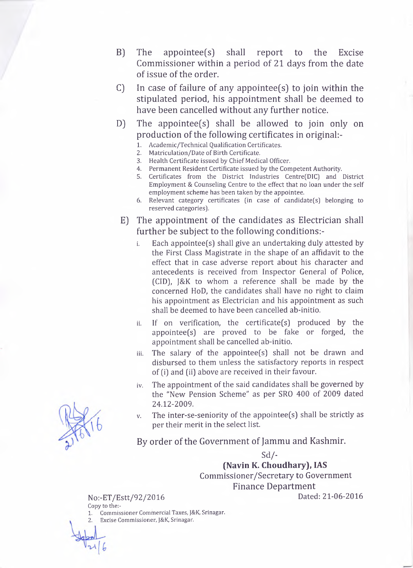- B) The appointee(s) shall report to the Excise Commissioner within a period of 21 days from the date of issue of the order.
- C) In case of failure of any appointee(s) to join within the stipulated period, his appointment shall be deemed to have been cancelled without any further notice.
- D) The appointee(s) shall be allowed to join only on production of the following certificates in original:-
	- **1. Academic/Technical Qualification Certificates.**
	- **2. Matriculation/Date of Birth Certificate.**
	- **3. Health Certificate issued by Chief Medical Officer.**
	- **4. Permanent Resident Certificate issued by the Competent Authority.**
	- **5. Certificates from the District Industries Centre(DIC) and District Employment & Counseling Centre to the effect that no loan under the self employment scheme has been taken by the appointee.**
	- **6. Relevant category certificates (in case of candidate(s) belonging to reserved categories).**
- E) The appointment of the candidates as Electrician shall further be subject to the following conditions:
	- **i. Each appointee(s) shall give an undertaking duly attested by the First Class Magistrate in the shape of an affidavit to the effect that in case adverse report about his character and antecedents is received from Inspector General of Police, (CID), J&K to whom a reference shall be made by the concerned HoD, the candidates shall have no right to claim his appointment as Electrician and his appointment as such shall be deemed to have been cancelled ab-initio.**
	- **ii. If on verification, the certificate(s) produced by the appointee(s) are proved to be fake or forged, the appointment shall be cancelled ab-initio.**
	- **iii. The salary of the appointee(s) shall not be drawn and disbursed to them unless the satisfactory reports in respect of (i) and (ii) above are received in their favour.**
	- **iv. The appointment of the said candidates shall be governed by the "New Pension Scheme" as per SRO 400 of 2009 dated 24.12-2009.**
	- **v. The inter-se-seniority of the appointee(s) shall be strictly as per their merit in the select list.**

By order of the Government of Jammu and Kashmir.

**Sd/- (Navin K. Choudhary), IAS Commissioner/Secretary to Government** Finance Department **N o:-ET/Estt/92/2016 Dated: 21-06-2016**

Copy to the:-

1. Commissioner Commercial Taxes, J&K, Srinagar. 2. Excise Commissioner, J&K, Srinagar.